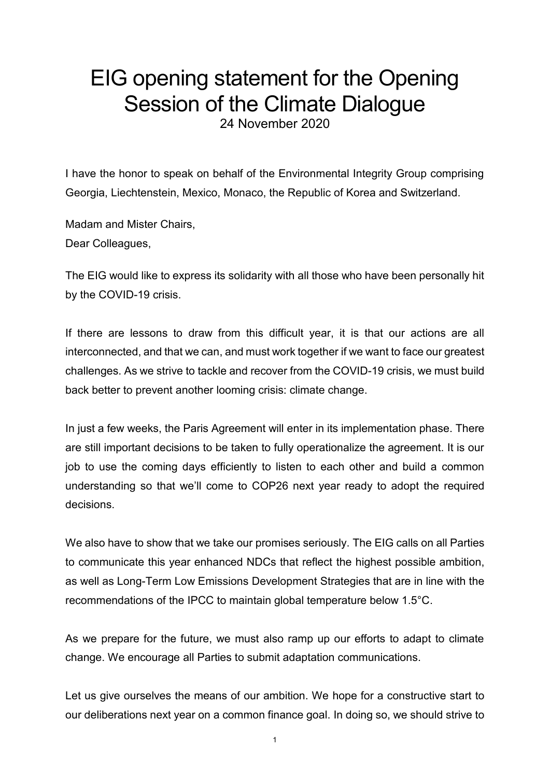## EIG opening statement for the Opening Session of the Climate Dialogue

24 November 2020

I have the honor to speak on behalf of the Environmental Integrity Group comprising Georgia, Liechtenstein, Mexico, Monaco, the Republic of Korea and Switzerland.

Madam and Mister Chairs, Dear Colleagues,

The EIG would like to express its solidarity with all those who have been personally hit by the COVID-19 crisis.

If there are lessons to draw from this difficult year, it is that our actions are all interconnected, and that we can, and must work together if we want to face our greatest challenges. As we strive to tackle and recover from the COVID-19 crisis, we must build back better to prevent another looming crisis: climate change.

In just a few weeks, the Paris Agreement will enter in its implementation phase. There are still important decisions to be taken to fully operationalize the agreement. It is our job to use the coming days efficiently to listen to each other and build a common understanding so that we'll come to COP26 next year ready to adopt the required decisions.

We also have to show that we take our promises seriously. The EIG calls on all Parties to communicate this year enhanced NDCs that reflect the highest possible ambition, as well as Long-Term Low Emissions Development Strategies that are in line with the recommendations of the IPCC to maintain global temperature below 1.5°C.

As we prepare for the future, we must also ramp up our efforts to adapt to climate change. We encourage all Parties to submit adaptation communications.

Let us give ourselves the means of our ambition. We hope for a constructive start to our deliberations next year on a common finance goal. In doing so, we should strive to